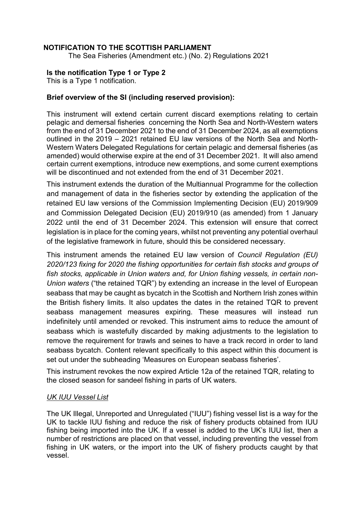## **NOTIFICATION TO THE SCOTTISH PARLIAMENT**

The Sea Fisheries (Amendment etc.) (No. 2) Regulations 2021

### **Is the notification Type 1 or Type 2**

This is a Type 1 notification.

### **Brief overview of the SI (including reserved provision):**

This instrument will extend certain current discard exemptions relating to certain pelagic and demersal fisheries concerning the North Sea and North-Western waters from the end of 31 December 2021 to the end of 31 December 2024, as all exemptions outlined in the 2019 – 2021 retained EU law versions of the North Sea and North-Western Waters Delegated Regulations for certain pelagic and demersal fisheries (as amended) would otherwise expire at the end of 31 December 2021. It will also amend certain current exemptions, introduce new exemptions, and some current exemptions will be discontinued and not extended from the end of 31 December 2021.

This instrument extends the duration of the Multiannual Programme for the collection and management of data in the fisheries sector by extending the application of the retained EU law versions of the Commission Implementing Decision (EU) 2019/909 and Commission Delegated Decision (EU) 2019/910 (as amended) from 1 January 2022 until the end of 31 December 2024. This extension will ensure that correct legislation is in place for the coming years, whilst not preventing any potential overhaul of the legislative framework in future, should this be considered necessary.

This instrument amends the retained EU law version of *Council Regulation (EU) 2020/123 fixing for 2020 the fishing opportunities for certain fish stocks and groups of fish stocks, applicable in Union waters and, for Union fishing vessels, in certain non-Union waters* ("the retained TQR") by extending an increase in the level of European seabass that may be caught as bycatch in the Scottish and Northern Irish zones within the British fishery limits. It also updates the dates in the retained TQR to prevent seabass management measures expiring. These measures will instead run indefinitely until amended or revoked. This instrument aims to reduce the amount of seabass which is wastefully discarded by making adjustments to the legislation to remove the requirement for trawls and seines to have a track record in order to land seabass bycatch. Content relevant specifically to this aspect within this document is set out under the subheading 'Measures on European seabass fisheries'.

This instrument revokes the now expired Article 12a of the retained TQR, relating to the closed season for sandeel fishing in parts of UK waters.

### *UK IUU Vessel List*

The UK Illegal, Unreported and Unregulated ("IUU") fishing vessel list is a way for the UK to tackle IUU fishing and reduce the risk of fishery products obtained from IUU fishing being imported into the UK. If a vessel is added to the UK's IUU list, then a number of restrictions are placed on that vessel, including preventing the vessel from fishing in UK waters, or the import into the UK of fishery products caught by that vessel.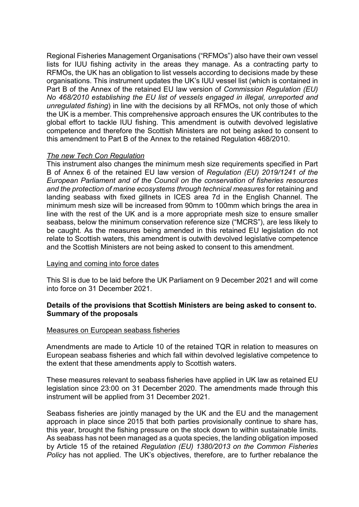Regional Fisheries Management Organisations ("RFMOs") also have their own vessel lists for IUU fishing activity in the areas they manage. As a contracting party to RFMOs, the UK has an obligation to list vessels according to decisions made by these organisations. This instrument updates the UK's IUU vessel list (which is contained in Part B of the Annex of the retained EU law version of *Commission Regulation (EU) No 468/2010 establishing the EU list of vessels engaged in illegal, unreported and unregulated fishing*) in line with the decisions by all RFMOs, not only those of which the UK is a member. This comprehensive approach ensures the UK contributes to the global effort to tackle IUU fishing. This amendment is outwith devolved legislative competence and therefore the Scottish Ministers are not being asked to consent to this amendment to Part B of the Annex to the retained Regulation 468/2010.

### *The new Tech Con Regulation*

This instrument also changes the minimum mesh size requirements specified in Part B of Annex 6 of the retained EU law version of *Regulation (EU) 2019/1241 of the European Parliament and of the Council on the conservation of fisheries resources and the protection of marine ecosystems through technical measures* for retaining and landing seabass with fixed gillnets in ICES area 7d in the English Channel. The minimum mesh size will be increased from 90mm to 100mm which brings the area in line with the rest of the UK and is a more appropriate mesh size to ensure smaller seabass, below the minimum conservation reference size ("MCRS"), are less likely to be caught. As the measures being amended in this retained EU legislation do not relate to Scottish waters, this amendment is outwith devolved legislative competence and the Scottish Ministers are not being asked to consent to this amendment.

### Laying and coming into force dates

This SI is due to be laid before the UK Parliament on 9 December 2021 and will come into force on 31 December 2021.

### **Details of the provisions that Scottish Ministers are being asked to consent to. Summary of the proposals**

### Measures on European seabass fisheries

Amendments are made to Article 10 of the retained TQR in relation to measures on European seabass fisheries and which fall within devolved legislative competence to the extent that these amendments apply to Scottish waters.

These measures relevant to seabass fisheries have applied in UK law as retained EU legislation since 23:00 on 31 December 2020. The amendments made through this instrument will be applied from 31 December 2021.

Seabass fisheries are jointly managed by the UK and the EU and the management approach in place since 2015 that both parties provisionally continue to share has, this year, brought the fishing pressure on the stock down to within sustainable limits. As seabass has not been managed as a quota species, the landing obligation imposed by Article 15 of the retained *Regulation (EU) 1380/2013 on the Common Fisheries Policy* has not applied. The UK's objectives, therefore, are to further rebalance the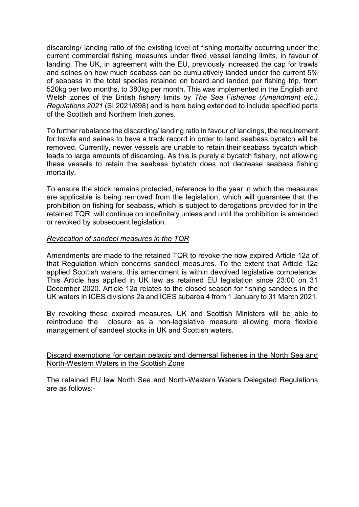discarding/ landing ratio of the existing level of fishing mortality occurring under the current commercial fishing measures under fixed vessel landing limits, in favour of landing. The UK, in agreement with the EU, previously increased the cap for trawls and seines on how much seabass can be cumulatively landed under the current 5% of seabass in the total species retained on board and landed per fishing trip, from 520kg per two months, to 380kg per month. This was implemented in the English and Welsh zones of the British fishery limits by *The Sea Fisheries (Amendment etc.) Regulations 2021* (SI 2021/698) and is here being extended to include specified parts of the Scottish and Northern Irish zones.

To further rebalance the discarding/ landing ratio in favour of landings, the requirement for trawls and seines to have a track record in order to land seabass bycatch will be removed. Currently, newer vessels are unable to retain their seabass bycatch which leads to large amounts of discarding. As this is purely a bycatch fishery, not allowing these vessels to retain the seabass bycatch does not decrease seabass fishing mortality.

To ensure the stock remains protected, reference to the year in which the measures are applicable is being removed from the legislation, which will guarantee that the prohibition on fishing for seabass, which is subject to derogations provided for in the retained TQR, will continue on indefinitely unless and until the prohibition is amended or revoked by subsequent legislation.

#### *Revocation of sandeel measures in the TQR*

Amendments are made to the retained TQR to revoke the now expired Article 12a of that Regulation which concerns sandeel measures. To the extent that Article 12a applied Scottish waters, this amendment is within devolved legislative competence. This Article has applied in UK law as retained EU legislation since 23:00 on 31 December 2020. Article 12a relates to the closed season for fishing sandeels in the UK waters in ICES divisions 2a and ICES subarea 4 from 1 January to 31 March 2021.

By revoking these expired measures, UK and Scottish Ministers will be able to reintroduce the closure as a non-legislative measure allowing more flexible management of sandeel stocks in UK and Scottish waters.

#### Discard exemptions for certain pelagic and demersal fisheries in the North Sea and North-Western Waters in the Scottish Zone

The retained EU law North Sea and North-Western Waters Delegated Regulations are as follows:-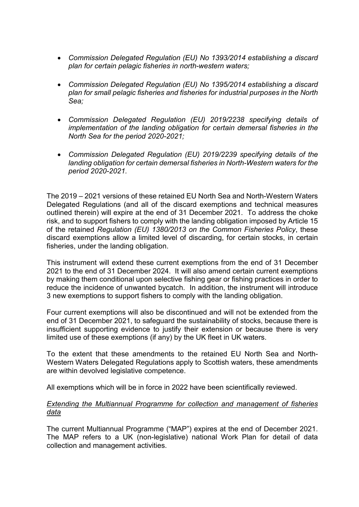- *Commission Delegated Regulation (EU) No 1393/2014 establishing a discard plan for certain pelagic fisheries in north-western waters;*
- *Commission Delegated Regulation (EU) No 1395/2014 establishing a discard plan for small pelagic fisheries and fisheries for industrial purposes in the North Sea;*
- *Commission Delegated Regulation (EU) 2019/2238 specifying details of implementation of the landing obligation for certain demersal fisheries in the North Sea for the period 2020-2021;*
- *Commission Delegated Regulation (EU) 2019/2239 specifying details of the landing obligation for certain demersal fisheries in North-Western waters for the period 2020-2021.*

The 2019 – 2021 versions of these retained EU North Sea and North-Western Waters Delegated Regulations (and all of the discard exemptions and technical measures outlined therein) will expire at the end of 31 December 2021. To address the choke risk, and to support fishers to comply with the landing obligation imposed by Article 15 of the retained *Regulation (EU) 1380/2013 on the Common Fisheries Policy*, these discard exemptions allow a limited level of discarding, for certain stocks, in certain fisheries, under the landing obligation.

This instrument will extend these current exemptions from the end of 31 December 2021 to the end of 31 December 2024. It will also amend certain current exemptions by making them conditional upon selective fishing gear or fishing practices in order to reduce the incidence of unwanted bycatch. In addition, the instrument will introduce 3 new exemptions to support fishers to comply with the landing obligation.

Four current exemptions will also be discontinued and will not be extended from the end of 31 December 2021, to safeguard the sustainability of stocks, because there is insufficient supporting evidence to justify their extension or because there is very limited use of these exemptions (if any) by the UK fleet in UK waters.

To the extent that these amendments to the retained EU North Sea and North-Western Waters Delegated Regulations apply to Scottish waters, these amendments are within devolved legislative competence.

All exemptions which will be in force in 2022 have been scientifically reviewed.

### *Extending the Multiannual Programme for collection and management of fisheries data*

The current Multiannual Programme ("MAP") expires at the end of December 2021. The MAP refers to a UK (non-legislative) national Work Plan for detail of data collection and management activities.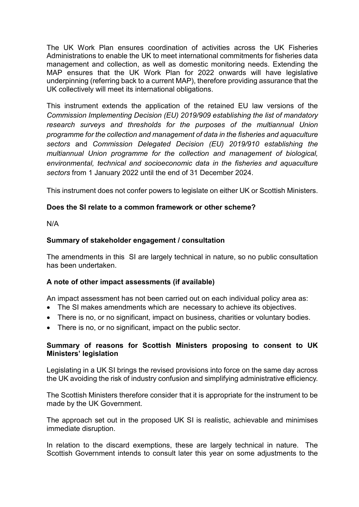The UK Work Plan ensures coordination of activities across the UK Fisheries Administrations to enable the UK to meet international commitments for fisheries data management and collection, as well as domestic monitoring needs. Extending the MAP ensures that the UK Work Plan for 2022 onwards will have legislative underpinning (referring back to a current MAP), therefore providing assurance that the UK collectively will meet its international obligations.

This instrument extends the application of the retained EU law versions of the *Commission Implementing Decision (EU) 2019/909 establishing the list of mandatory research surveys and thresholds for the purposes of the multiannual Union programme for the collection and management of data in the fisheries and aquaculture sectors* and *Commission Delegated Decision (EU) 2019/910 establishing the multiannual Union programme for the collection and management of biological, environmental, technical and socioeconomic data in the fisheries and aquaculture sectors* from 1 January 2022 until the end of 31 December 2024.

This instrument does not confer powers to legislate on either UK or Scottish Ministers.

### **Does the SI relate to a common framework or other scheme?**

N/A

### **Summary of stakeholder engagement / consultation**

The amendments in this SI are largely technical in nature, so no public consultation has been undertaken.

### **A note of other impact assessments (if available)**

An impact assessment has not been carried out on each individual policy area as:

- The SI makes amendments which are necessary to achieve its objectives.
- There is no, or no significant, impact on business, charities or voluntary bodies.
- There is no, or no significant, impact on the public sector.

### **Summary of reasons for Scottish Ministers proposing to consent to UK Ministers' legislation**

Legislating in a UK SI brings the revised provisions into force on the same day across the UK avoiding the risk of industry confusion and simplifying administrative efficiency.

The Scottish Ministers therefore consider that it is appropriate for the instrument to be made by the UK Government.

The approach set out in the proposed UK SI is realistic, achievable and minimises immediate disruption.

In relation to the discard exemptions, these are largely technical in nature. The Scottish Government intends to consult later this year on some adjustments to the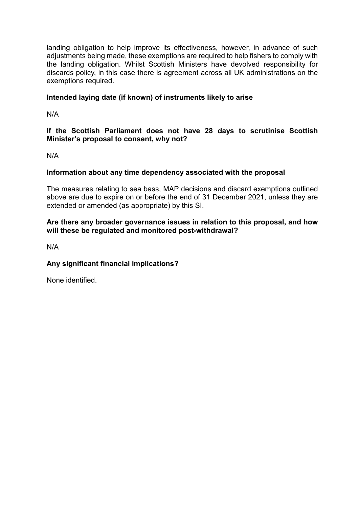landing obligation to help improve its effectiveness, however, in advance of such adjustments being made, these exemptions are required to help fishers to comply with the landing obligation. Whilst Scottish Ministers have devolved responsibility for discards policy, in this case there is agreement across all UK administrations on the exemptions required.

# **Intended laying date (if known) of instruments likely to arise**

N/A

## **If the Scottish Parliament does not have 28 days to scrutinise Scottish Minister's proposal to consent, why not?**

N/A

## **Information about any time dependency associated with the proposal**

The measures relating to sea bass, MAP decisions and discard exemptions outlined above are due to expire on or before the end of 31 December 2021, unless they are extended or amended (as appropriate) by this SI.

### **Are there any broader governance issues in relation to this proposal, and how will these be regulated and monitored post-withdrawal?**

N/A

## **Any significant financial implications?**

None identified.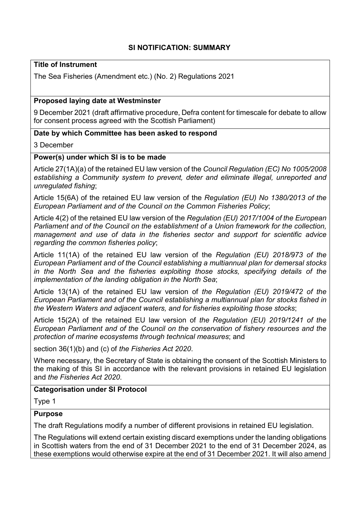# **SI NOTIFICATION: SUMMARY**

# **Title of Instrument**

The Sea Fisheries (Amendment etc.) (No. 2) Regulations 2021

### **Proposed laying date at Westminster**

9 December 2021 (draft affirmative procedure, Defra content for timescale for debate to allow for consent process agreed with the Scottish Parliament)

### **Date by which Committee has been asked to respond**

#### 3 December

### **Power(s) under which SI is to be made**

Article 27(1A)(a) of the retained EU law version of the *Council Regulation (EC) No 1005/2008 establishing a Community system to prevent, deter and eliminate illegal, unreported and unregulated fishing*;

Article 15(6A) of the retained EU law version of the *Regulation (EU) No 1380/2013 of the European Parliament and of the Council on the Common Fisheries Policy*;

Article 4(2) of the retained EU law version of the *Regulation (EU) 2017/1004 of the European Parliament and of the Council on the establishment of a Union framework for the collection, management and use of data in the fisheries sector and support for scientific advice regarding the common fisheries policy*;

Article 11(1A) of the retained EU law version of the *Regulation (EU) 2018/973 of the European Parliament and of the Council establishing a multiannual plan for demersal stocks in the North Sea and the fisheries exploiting those stocks, specifying details of the implementation of the landing obligation in the North Sea*;

Article 13(1A) of the retained EU law version of *the Regulation (EU) 2019/472 of the European Parliament and of the Council establishing a multiannual plan for stocks fished in the Western Waters and adjacent waters, and for fisheries exploiting those stocks*;

Article 15(2A) of the retained EU law version of *the Regulation (EU) 2019/1241 of the European Parliament and of the Council on the conservation of fishery resources and the protection of marine ecosystems through technical measures*; and

section 36(1)(b) and (c) of *the Fisheries Act 2020*.

Where necessary, the Secretary of State is obtaining the consent of the Scottish Ministers to the making of this SI in accordance with the relevant provisions in retained EU legislation and *the Fisheries Act 2020*.

### **Categorisation under SI Protocol**

Type 1

#### **Purpose**

The draft Regulations modify a number of different provisions in retained EU legislation.

The Regulations will extend certain existing discard exemptions under the landing obligations in Scottish waters from the end of 31 December 2021 to the end of 31 December 2024, as these exemptions would otherwise expire at the end of 31 December 2021. It will also amend